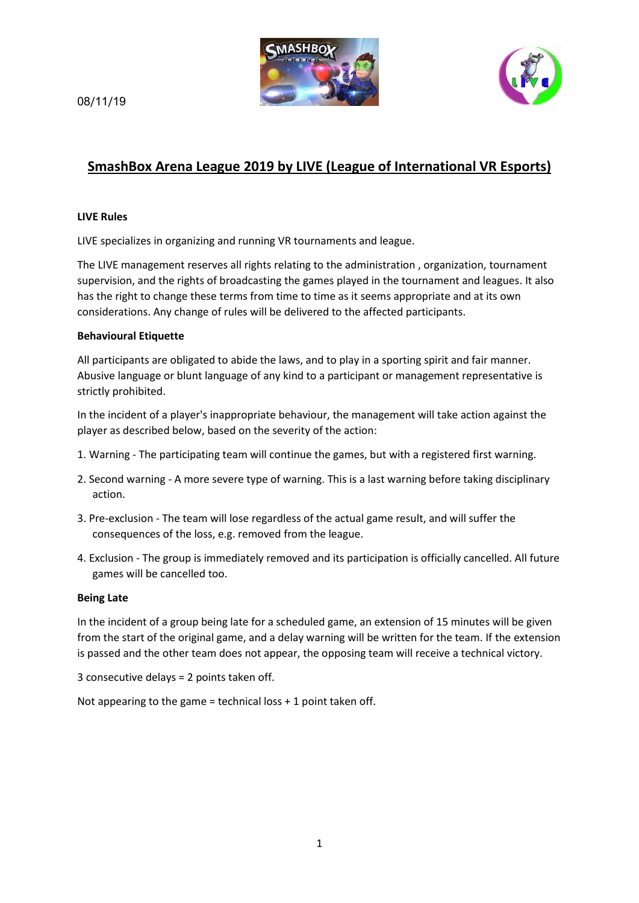



# 08/11/19

# **SmashBox Arena League 2019 by LIVE (League of International VR Esports)**

# **LIVE Rules**

LIVE specializes in organizing and running VR tournaments and league.

The LIVE management reserves all rights relating to the administration , organization, tournament supervision, and the rights of broadcasting the games played in the tournament and leagues. It also has the right to change these terms from time to time as it seems appropriate and at its own considerations. Any change of rules will be delivered to the affected participants.

### **Behavioural Etiquette**

All participants are obligated to abide the laws, and to play in a sporting spirit and fair manner. Abusive language or blunt language of any kind to a participant or management representative is strictly prohibited.

In the incident of a player's inappropriate behaviour, the management will take action against the player as described below, based on the severity of the action:

- 1. Warning The participating team will continue the games, but with a registered first warning.
- 2. Second warning A more severe type of warning. This is a last warning before taking disciplinary action.
- 3. Pre-exclusion The team will lose regardless of the actual game result, and will suffer the consequences of the loss, e.g. removed from the league.
- 4. Exclusion The group is immediately removed and its participation is officially cancelled. All future games will be cancelled too.

# **Being Late**

In the incident of a group being late for a scheduled game, an extension of 15 minutes will be given from the start of the original game, and a delay warning will be written for the team. If the extension is passed and the other team does not appear, the opposing team will receive a technical victory.

3 consecutive delays = 2 points taken off.

Not appearing to the game = technical loss  $+1$  point taken off.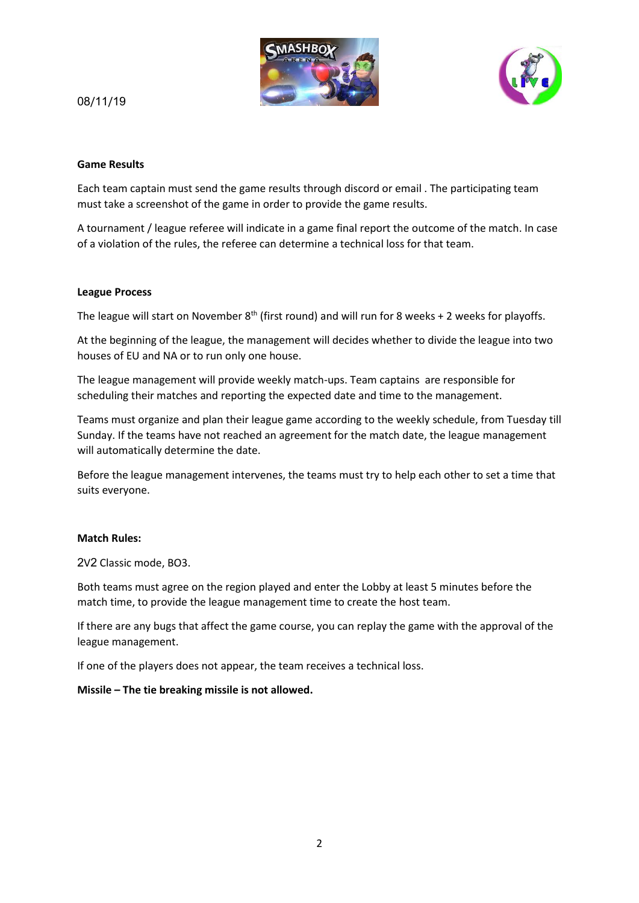



# 08/11/19

#### **Game Results**

Each team captain must send the game results through discord or email . The participating team must take a screenshot of the game in order to provide the game results.

A tournament / league referee will indicate in a game final report the outcome of the match. In case of a violation of the rules, the referee can determine a technical loss for that team.

#### **League Process**

The league will start on November  $8^{th}$  (first round) and will run for 8 weeks + 2 weeks for playoffs.

At the beginning of the league, the management will decides whether to divide the league into two houses of EU and NA or to run only one house.

The league management will provide weekly match-ups. Team captains are responsible for scheduling their matches and reporting the expected date and time to the management.

Teams must organize and plan their league game according to the weekly schedule, from Tuesday till Sunday. If the teams have not reached an agreement for the match date, the league management will automatically determine the date.

Before the league management intervenes, the teams must try to help each other to set a time that suits everyone.

#### **Match Rules:**

2V2 Classic mode, BO3.

Both teams must agree on the region played and enter the Lobby at least 5 minutes before the match time, to provide the league management time to create the host team.

If there are any bugs that affect the game course, you can replay the game with the approval of the league management.

If one of the players does not appear, the team receives a technical loss.

#### **Missile – The tie breaking missile is not allowed.**